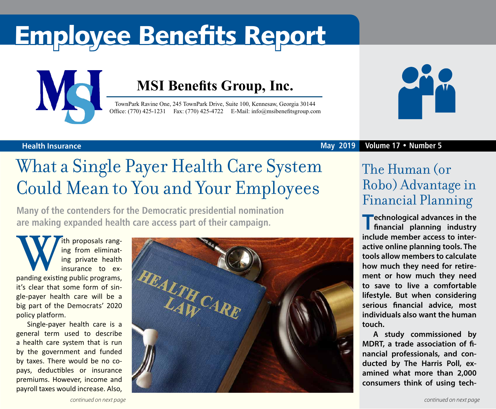# Employee Benefits Report



### **MSI Benefits Group, Inc.**

TownPark Ravine One, 245 TownPark Drive, Suite 100, Kennesaw, Georgia 30144 Office: (770) 425-1231 Fax: (770) 425-4722 E-Mail: [info@msibenefitsgroup.com](mailto:info@msibenefitsgroup.com)



### **Health Insurance May 2019 Volume 17 • Number 5**

## What a Single Payer Health Care System Could Mean to You and Your Employees

**Many of the contenders for the Democratic presidential nomination are making expanded health care access part of their campaign.**

**With proposals rang-<br>
ing from eliminat-<br>
insurance to ex-<br>
panding existing public programs,** ing from eliminating private health insurance to exit's clear that some form of single-payer health care will be a big part of the Democrats' 2020 policy platform.

Single-payer health care is a general term used to describe a health care system that is run by the government and funded by taxes. There would be no copays, deductibles or insurance premiums. However, income and payroll taxes would increase. Also,



### The Human (or Robo) Advantage in Financial Planning

**Technological advances in the financial planning industry include member access to interactive online planning tools. The tools allow members to calculate how much they need for retirement or how much they need to save to live a comfortable lifestyle. But when considering serious financial advice, most individuals also want the human touch.**

**A study commissioned by MDRT, a trade association of financial professionals, and conducted by The Harris Poll, examined what more than 2,000 consumers think of using tech-**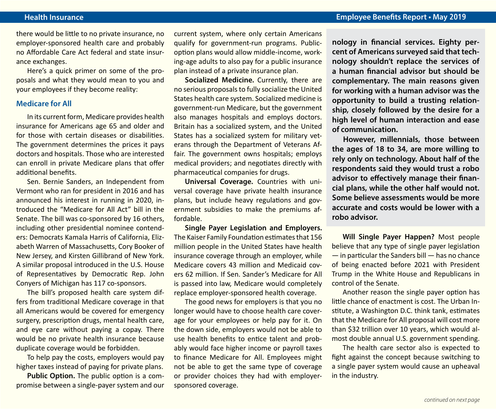there would be little to no private insurance, no employer-sponsored health care and probably no Affordable Care Act federal and state insurance exchanges.

Here's a quick primer on some of the proposals and what they would mean to you and your employees if they become reality:

#### **Medicare for All**

In its current form, Medicare provides health insurance for Americans age 65 and older and for those with certain diseases or disabilities. The government determines the prices it pays doctors and hospitals. Those who are interested can enroll in private Medicare plans that offer additional benefits.

Sen. Bernie Sanders, an Independent from Vermont who ran for president in 2016 and has announced his interest in running in 2020, introduced the "Medicare for All Act" bill in the Senate. The bill was co-sponsored by 16 others, including other presidential nominee contenders: Democrats Kamala Harris of California, Elizabeth Warren of Massachusetts, Cory Booker of New Jersey, and Kirsten Gillibrand of New York. A similar proposal introduced in the U.S. House of Representatives by Democratic Rep. John Conyers of Michigan has 117 co-sponsors.

The bill's proposed health care system differs from traditional Medicare coverage in that all Americans would be covered for emergency surgery, prescription drugs, mental health care, and eye care without paying a copay. There would be no private health insurance because duplicate coverage would be forbidden.

To help pay the costs, employers would pay higher taxes instead of paying for private plans.

**Public Option.** The public option is a compromise between a single-payer system and our current system, where only certain Americans qualify for government-run programs. Publicoption plans would allow middle-income, working-age adults to also pay for a public insurance plan instead of a private insurance plan.

**Socialized Medicine.** Currently, there are no serious proposals to fully socialize the United States health care system. Socialized medicine is government-run Medicare, but the government also manages hospitals and employs doctors. Britain has a socialized system, and the United States has a socialized system for military veterans through the Department of Veterans Affair. The government owns hospitals; employs medical providers; and negotiates directly with pharmaceutical companies for drugs.

**Universal Coverage.** Countries with universal coverage have private health insurance plans, but include heavy regulations and government subsidies to make the premiums affordable.

**Single Payer Legislation and Employers.**  The Kaiser Family Foundation estimates that 156 million people in the United States have health insurance coverage through an employer, while Medicare covers 43 million and Medicaid covers 62 million. If Sen. Sander's Medicare for All is passed into law, Medicare would completely replace employer-sponsored health coverage.

The good news for employers is that you no longer would have to choose health care coverage for your employees or help pay for it. On the down side, employers would not be able to use health benefits to entice talent and probably would face higher income or payroll taxes to finance Medicare for All. Employees might not be able to get the same type of coverage or provider choices they had with employersponsored coverage.

**nology in financial services. Eighty percent of Americans surveyed said that technology shouldn't replace the services of a human financial advisor but should be complementary. The main reasons given for working with a human advisor was the opportunity to build a trusting relationship, closely followed by the desire for a high level of human interaction and ease of communication.** 

**However, millennials, those between the ages of 18 to 34, are more willing to rely only on technology. About half of the respondents said they would trust a robo advisor to effectively manage their financial plans, while the other half would not. Some believe assessments would be more accurate and costs would be lower with a robo advisor.**

**Will Single Payer Happen?** Most people believe that any type of single payer legislation — in particular the Sanders bill — has no chance of being enacted before 2021 with President Trump in the White House and Republicans in control of the Senate.

Another reason the single payer option has little chance of enactment is cost. The Urban Institute, a Washington D.C. think tank, estimates that the Medicare for All proposal will cost more than \$32 trillion over 10 years, which would almost double annual U.S. government spending.

The health care sector also is expected to fight against the concept because switching to a single payer system would cause an upheaval in the industry.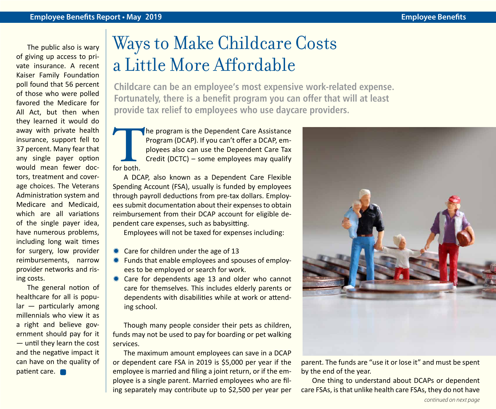The public also is wary of giving up access to private insurance. A recent Kaiser Family Foundation poll found that 56 percent of those who were polled favored the Medicare for All Act, but then when they learned it would do away with private health insurance, support fell to 37 percent. Many fear that any single payer option would mean fewer doctors, treatment and coverage choices. The Veterans Administration system and Medicare and Medicaid, which are all variations of the single payer idea, have numerous problems, including long wait times for surgery, low provider reimbursements, narrow provider networks and rising costs.

The general notion of healthcare for all is popular — particularly among millennials who view it as a right and believe government should pay for it — until they learn the cost and the negative impact it can have on the quality of patient care.

### Ways to Make Childcare Costs a Little More Affordable

**Childcare can be an employee's most expensive work-related expense. Fortunately, there is a benefit program you can offer that will at least provide tax relief to employees who use daycare providers.**

**T**he program is the Dependent Care Assistance Program (DCAP). If you can't offer a DCAP, employees also can use the Dependent Care Tax Credit (DCTC) – some employees may qualify for both.

A DCAP, also known as a Dependent Care Flexible Spending Account (FSA), usually is funded by employees through payroll deductions from pre-tax dollars. Employees submit documentation about their expenses to obtain reimbursement from their DCAP account for eligible dependent care expenses, such as babysitting.

Employees will not be taxed for expenses including:

- $*$  Care for children under the age of 13
- $*$  Funds that enable employees and spouses of employees to be employed or search for work.
- $*$  Care for dependents age 13 and older who cannot care for themselves. This includes elderly parents or dependents with disabilities while at work or attending school.

Though many people consider their pets as children, funds may not be used to pay for boarding or pet walking services.

The maximum amount employees can save in a DCAP or dependent care FSA in 2019 is \$5,000 per year if the employee is married and filing a joint return, or if the employee is a single parent. Married employees who are filing separately may contribute up to \$2,500 per year per



parent. The funds are "use it or lose it" and must be spent by the end of the year.

One thing to understand about DCAPs or dependent care FSAs, is that unlike health care FSAs, they do not have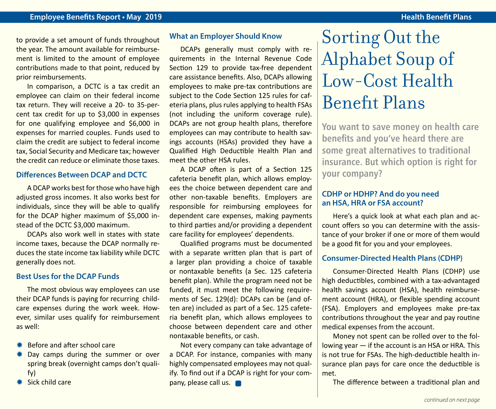to provide a set amount of funds throughout the year. The amount available for reimbursement is limited to the amount of employee contributions made to that point, reduced by prior reimbursements.

In comparison, a DCTC is a tax credit an employee can claim on their federal income tax return. They will receive a 20- to 35-percent tax credit for up to \$3,000 in expenses for one qualifying employee and \$6,000 in expenses for married couples. Funds used to claim the credit are subject to federal income tax, Social Security and Medicare tax; however the credit can reduce or eliminate those taxes.

#### **Differences Between DCAP and DCTC**

A DCAP works best for those who have high adjusted gross incomes. It also works best for individuals, since they will be able to qualify for the DCAP higher maximum of \$5,000 instead of the DCTC \$3,000 maximum.

DCAPs also work well in states with state income taxes, because the DCAP normally reduces the state income tax liability while DCTC generally does not.

#### **Best Uses for the DCAP Funds**

The most obvious way employees can use their DCAP funds is paying for recurring childcare expenses during the work week. However, similar uses qualify for reimbursement as well:

- Before and after school care
- **\* Day camps during the summer or over** spring break (overnight camps don't qualify)
- $*$  Sick child care

#### **What an Employer Should Know**

DCAPs generally must comply with requirements in the Internal Revenue Code Section 129 to provide tax-free dependent care assistance benefits. Also, DCAPs allowing employees to make pre-tax contributions are subject to the Code Section 125 rules for cafeteria plans, plus rules applying to health FSAs (not including the uniform coverage rule). DCAPs are not group health plans, therefore employees can may contribute to health savings accounts (HSAs) provided they have a Qualified High Deductible Health Plan and meet the other HSA rules.

A DCAP often is part of a Section 125 cafeteria benefit plan, which allows employees the choice between dependent care and other non-taxable benefits. Employers are responsible for reimbursing employees for dependent care expenses, making payments to third parties and/or providing a dependent care facility for employees' dependents.

Qualified programs must be documented with a separate written plan that is part of a larger plan providing a choice of taxable or nontaxable benefits (a Sec. 125 cafeteria benefit plan). While the program need not be funded, it must meet the following requirements of Sec. 129(d): DCAPs can be (and often are) included as part of a Sec. 125 cafeteria benefit plan, which allows employees to choose between dependent care and other nontaxable benefits, or cash.

Not every company can take advantage of a DCAP. For instance, companies with many highly compensated employees may not qualify. To find out if a DCAP is right for your company, please call us.

## Sorting Out the Alphabet Soup of Low-Cost Health Benefit Plans

**You want to save money on health care benefits and you've heard there are some great alternatives to traditional insurance. But which option is right for your company?**

#### **CDHP or HDHP? And do you need an HSA, HRA or FSA account?**

Here's a quick look at what each plan and account offers so you can determine with the assistance of your broker if one or more of them would be a good fit for you and your employees.

### **Consumer-Directed Health Plans (CDHP)**

Consumer-Directed Health Plans (CDHP) use high deductibles, combined with a tax-advantaged health savings account (HSA), health reimbursement account (HRA), or flexible spending account (FSA). Employers and employees make pre-tax contributions throughout the year and pay routine medical expenses from the account.

Money not spent can be rolled over to the following year — if the account is an HSA or HRA. This is not true for FSAs. The high-deductible health insurance plan pays for care once the deductible is met.

The difference between a traditional plan and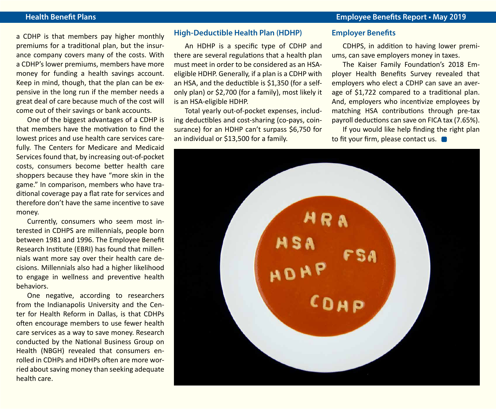#### **Health Benefit Plans Employee Benefits Report • May 2019**

a CDHP is that members pay higher monthly premiums for a traditional plan, but the insurance company covers many of the costs. With a CDHP's lower premiums, members have more money for funding a health savings account. Keep in mind, though, that the plan can be expensive in the long run if the member needs a great deal of care because much of the cost will come out of their savings or bank accounts.

One of the biggest advantages of a CDHP is that members have the motivation to find the lowest prices and use health care services carefully. The Centers for Medicare and Medicaid Services found that, by increasing out-of-pocket costs, consumers become better health care shoppers because they have "more skin in the game." In comparison, members who have traditional coverage pay a flat rate for services and therefore don't have the same incentive to save money.

Currently, consumers who seem most interested in CDHPS are millennials, people born between 1981 and 1996. The Employee Benefit Research Institute (EBRI) has found that millennials want more say over their health care decisions. Millennials also had a higher likelihood to engage in wellness and preventive health behaviors.

One negative, according to researchers from the Indianapolis University and the Center for Health Reform in Dallas, is that CDHPs often encourage members to use fewer health care services as a way to save money. Research conducted by the National Business Group on Health (NBGH) revealed that consumers enrolled in CDHPs and HDHPs often are more worried about saving money than seeking adequate health care.

#### **High-Deductible Health Plan (HDHP)**

An HDHP is a specific type of CDHP and there are several regulations that a health plan must meet in order to be considered as an HSAeligible HDHP. Generally, if a plan is a CDHP with an HSA, and the deductible is \$1,350 (for a selfonly plan) or \$2,700 (for a family), most likely it is an HSA-eligible HDHP.

Total yearly out-of-pocket expenses, including deductibles and cost-sharing (co-pays, coinsurance) for an HDHP can't surpass \$6,750 for an individual or \$13,500 for a family.

#### **Employer Benefits**

CDHPS, in addition to having lower premiums, can save employers money in taxes.

The Kaiser Family Foundation's 2018 Employer Health Benefits Survey revealed that employers who elect a CDHP can save an average of \$1,722 compared to a traditional plan. And, employers who incentivize employees by matching HSA contributions through pre-tax payroll deductions can save on FICA tax (7.65%).

If you would like help finding the right plan to fit your firm, please contact us.